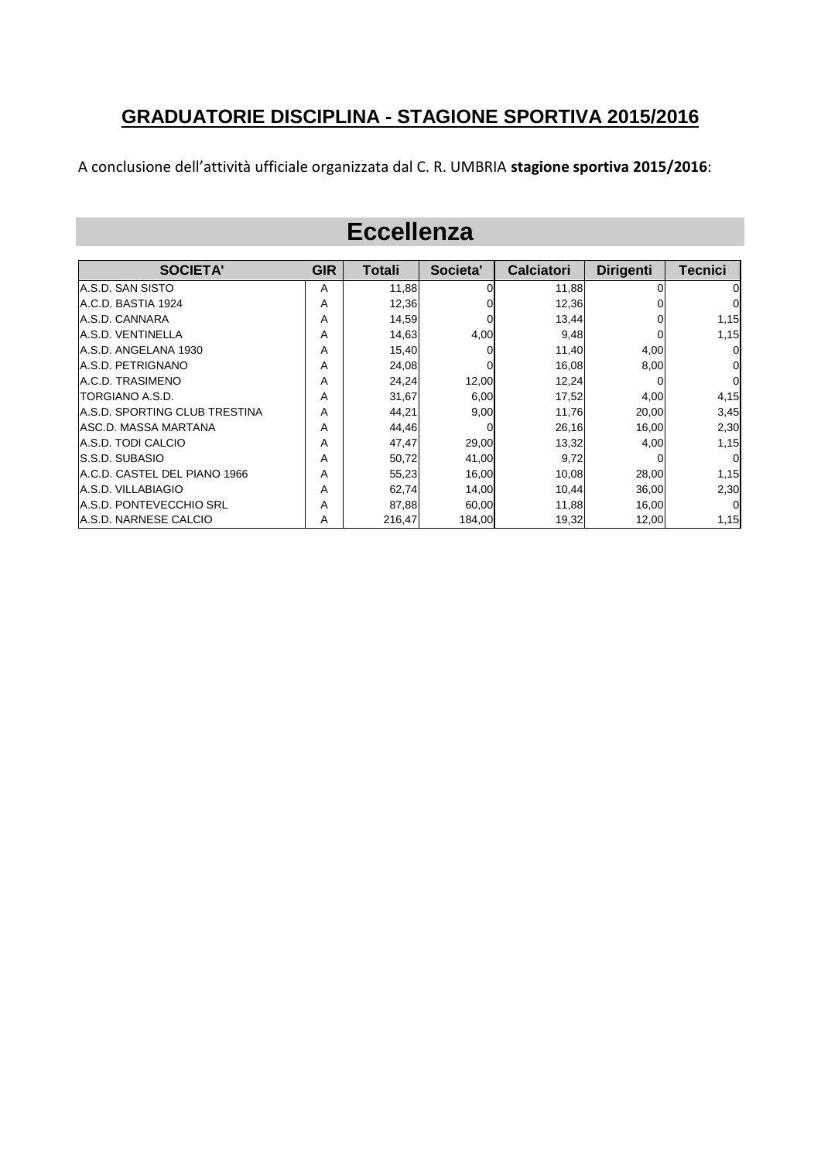#### **GRADUATORIE DISCIPLINA - STAGIONE SPORTIVA 2015/2016**

A conclusione dell'attività ufficiale organizzata dal C. R. UMBRIA **stagione sportiva 2015/2016**:

#### **Eccellenza**

| <b>SOCIETA'</b>                | <b>GIR</b> | <b>Totali</b> | Societa' | <b>Calciatori</b> | <b>Dirigenti</b> | <b>Tecnici</b> |
|--------------------------------|------------|---------------|----------|-------------------|------------------|----------------|
| A.S.D. SAN SISTO               | A          | 11,88         |          | 11.88             |                  |                |
| A.C.D. BASTIA 1924             | Α          | 12,36         |          | 12,36             |                  | 0              |
| A.S.D. CANNARA                 | A          | 14,59         |          | 13,44             |                  | 1,15           |
| A.S.D. VENTINELLA              | A          | 14,63         | 4,00     | 9,48              |                  | 1,15           |
| A.S.D. ANGELANA 1930           | Α          | 15,40         |          | 11,40             | 4,00             | $\Omega$       |
| <b>A.S.D. PETRIGNANO</b>       | A          | 24,08         |          | 16,08             | 8,00             | 0              |
| A.C.D. TRASIMENO               | Α          | 24,24         | 12,00    | 12,24             |                  | $\overline{0}$ |
| TORGIANO A.S.D.                | Α          | 31,67         | 6,00     | 17,52             | 4,00             | 4,15           |
| IA.S.D. SPORTING CLUB TRESTINA | Α          | 44,21         | 9,00     | 11,76             | 20,00            | 3,45           |
| IASC.D. MASSA MARTANA          | A          | 44,46         |          | 26,16             | 16,00            | 2,30           |
| A.S.D. TODI CALCIO             | A          | 47,47         | 29,00    | 13,32             | 4,00             | 1,15           |
| <b>S.S.D. SUBASIO</b>          | Α          | 50,72         | 41,00    | 9,72              |                  | $\Omega$       |
| IA.C.D. CASTEL DEL PIANO 1966  | Α          | 55,23         | 16,00    | 10,08             | 28,00            | 1,15           |
| A.S.D. VILLABIAGIO             | Α          | 62,74         | 14,00    | 10,44             | 36,00            | 2,30           |
| IA.S.D. PONTEVECCHIO SRL       | A          | 87,88         | 60,00    | 11,88             | 16,00            | $\Omega$       |
| A.S.D. NARNESE CALCIO          | A          | 216,47        | 184,00   | 19,32             | 12,00            | 1,15           |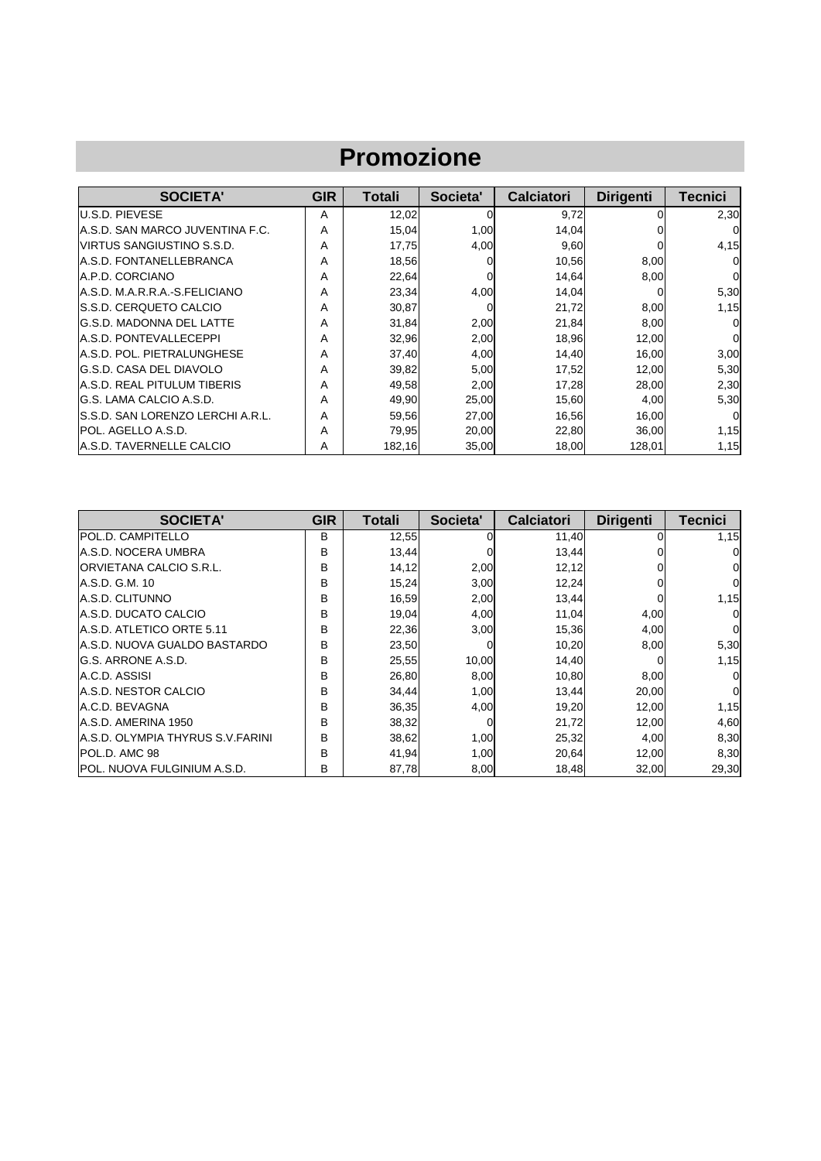| <b>Promozione</b>                |            |        |          |                   |                  |          |  |  |
|----------------------------------|------------|--------|----------|-------------------|------------------|----------|--|--|
| <b>SOCIETA'</b>                  | <b>GIR</b> | Totali | Societa' | <b>Calciatori</b> | <b>Dirigenti</b> | Tecnici  |  |  |
| <b>U.S.D. PIEVESE</b>            | A          | 12,02  | 0        | 9,72              |                  | 2,30     |  |  |
| A.S.D. SAN MARCO JUVENTINA F.C.  | А          | 15,04  | 1,00     | 14,04             |                  | 0        |  |  |
| VIRTUS SANGIUSTINO S.S.D.        | A          | 17,75  | 4,00     | 9,60              |                  | 4,15     |  |  |
| A.S.D. FONTANELLEBRANCA          | А          | 18,56  | 0        | 10,56             | 8,00             |          |  |  |
| A.P.D. CORCIANO                  | А          | 22,64  | $\Omega$ | 14,64             | 8,00             | $\Omega$ |  |  |
| A.S.D. M.A.R.R.A.-S.FELICIANO    | A          | 23,34  | 4,00     | 14,04             |                  | 5,30     |  |  |
| S.S.D. CERQUETO CALCIO           | А          | 30,87  | 0        | 21,72             | 8,00             | 1,15     |  |  |
| <b>G.S.D. MADONNA DEL LATTE</b>  | Α          | 31,84  | 2,00     | 21,84             | 8,00             | 0        |  |  |
| A.S.D. PONTEVALLECEPPI           | А          | 32,96  | 2,00     | 18,96             | 12,00            | $\Omega$ |  |  |
| A.S.D. POL. PIETRALUNGHESE       | А          | 37,40  | 4,00     | 14,40             | 16,00            | 3,00     |  |  |
| G.S.D. CASA DEL DIAVOLO          | А          | 39,82  | 5,00     | 17,52             | 12,00            | 5,30     |  |  |
| A.S.D. REAL PITULUM TIBERIS      | А          | 49,58  | 2,00     | 17,28             | 28,00            | 2,30     |  |  |
| G.S. LAMA CALCIO A.S.D.          | A          | 49,90  | 25,00    | 15,60             | 4,00             | 5,30     |  |  |
| S.S.D. SAN LORENZO LERCHI A.R.L. | Α          | 59,56  | 27,00    | 16,56             | 16,00            | 0        |  |  |
| <b>IPOL. AGELLO A.S.D.</b>       | А          | 79,95  | 20,00    | 22,80             | 36,00            | 1,15     |  |  |
| A.S.D. TAVERNELLE CALCIO         | A          | 182,16 | 35,00    | 18,00             | 128,01           | 1,15     |  |  |

| <b>SOCIETA'</b>                         | <b>GIR</b> | <b>Totali</b> | Societa' | <b>Calciatori</b> | <b>Dirigenti</b> | <b>Tecnici</b> |
|-----------------------------------------|------------|---------------|----------|-------------------|------------------|----------------|
| <b>POL.D. CAMPITELLO</b>                | В          | 12,55         |          | 11,40             |                  | 1,15           |
| A.S.D. NOCERA UMBRA                     | B          | 13,44         |          | 13,44             |                  |                |
| <b>ORVIETANA CALCIO S.R.L.</b>          | B          | 14,12         | 2,00     | 12,12             |                  |                |
| A.S.D. G.M. 10                          | B          | 15,24         | 3,00     | 12,24             |                  | 0              |
| A.S.D. CLITUNNO                         | B          | 16,59         | 2,00     | 13,44             |                  | 1,15           |
| A.S.D. DUCATO CALCIO                    | B          | 19,04         | 4,00     | 11,04             | 4,00             |                |
| A.S.D. ATLETICO ORTE 5.11               | B          | 22,36         | 3,00     | 15,36             | 4,00             | O.             |
| IA.S.D. NUOVA GUALDO BASTARDO           | B          | 23,50         |          | 10,20             | 8,00             | 5,30           |
| IG.S. ARRONE A.S.D.                     | B          | 25,55         | 10,00    | 14,40             |                  | 1,15           |
| A.C.D. ASSISI                           | B          | 26,80         | 8,00     | 10,80             | 8,00             |                |
| A.S.D. NESTOR CALCIO                    | в          | 34,44         | 1,00     | 13,44             | 20,00            | 0              |
| A.C.D. BEVAGNA                          | B          | 36,35         | 4,00     | 19,20             | 12,00            | 1,15           |
| A.S.D. AMERINA 1950                     | B          | 38,32         | $\Omega$ | 21,72             | 12,00            | 4,60           |
| <b>A.S.D. OLYMPIA THYRUS S.V.FARINI</b> | в          | 38,62         | 1,00     | 25,32             | 4,00             | 8,30           |
| POL.D. AMC 98                           | B          | 41,94         | 1,00     | 20,64             | 12,00            | 8,30           |
| <b>IPOL. NUOVA FULGINIUM A.S.D.</b>     | в          | 87,78         | 8,00     | 18,48             | 32,00            | 29,30          |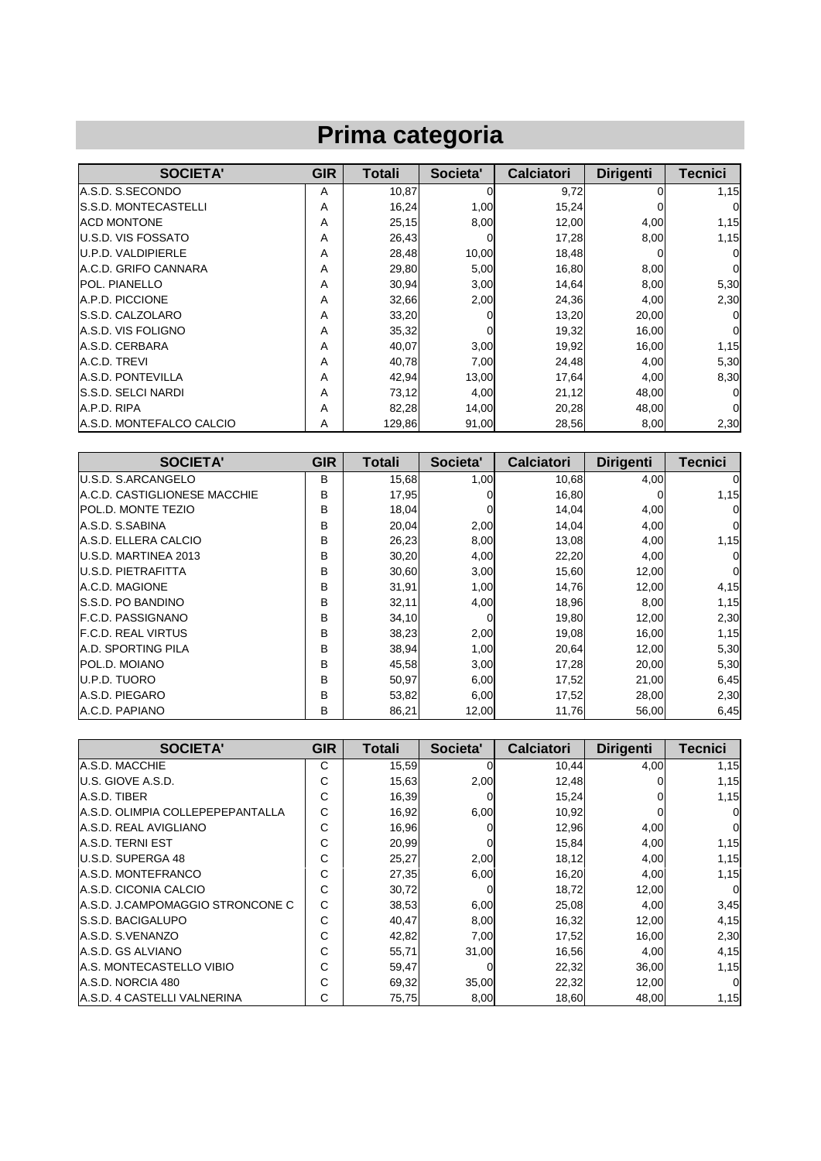## **Prima categoria**

| <b>SOCIETA'</b>                 | <b>GIR</b> | <b>Totali</b> | Societa' | <b>Calciatori</b> | <b>Dirigenti</b> | Tecnici  |
|---------------------------------|------------|---------------|----------|-------------------|------------------|----------|
| A.S.D. S.SECONDO                | А          | 10,87         | $\Omega$ | 9,72              | 0l               | 1,15     |
| <b>S.S.D. MONTECASTELLI</b>     | Α          | 16,24         | 1,00     | 15,24             |                  | 0        |
| <b>ACD MONTONE</b>              | Α          | 25,15         | 8,00     | 12,00             | 4,00             | 1,15     |
| <b>IU.S.D. VIS FOSSATO</b>      | Α          | 26,43         |          | 17,28             | 8,00             | 1,15     |
| U.P.D. VALDIPIERLE              | A          | 28,48         | 10,00    | 18,48             |                  | 0        |
| <b>A.C.D. GRIFO CANNARA</b>     | А          | 29,80         | 5,00     | 16,80             | 8,00             | 0        |
| <b>POL. PIANELLO</b>            | А          | 30,94         | 3,00     | 14,64             | 8,00             | 5,30     |
| A.P.D. PICCIONE                 | А          | 32,66         | 2,00     | 24,36             | 4,00             | 2,30     |
| <b>IS.S.D. CALZOLARO</b>        | А          | 33,20         | 0        | 13,20             | 20,00            | $\Omega$ |
| <b>A.S.D. VIS FOLIGNO</b>       | А          | 35,32         | $\Omega$ | 19,32             | 16,00            | $\Omega$ |
| A.S.D. CERBARA                  | А          | 40,07         | 3,00     | 19,92             | 16,00            | 1,15     |
| A.C.D. TREVI                    | Α          | 40,78         | 7,00     | 24,48             | 4,00             | 5,30     |
| <b>A.S.D. PONTEVILLA</b>        | А          | 42,94         | 13,00    | 17,64             | 4,00             | 8,30     |
| <b>IS.S.D. SELCI NARDI</b>      | А          | 73,12         | 4,00     | 21,12             | 48,00            | 0        |
| A.P.D. RIPA                     | А          | 82,28         | 14,00    | 20,28             | 48,00            | $\Omega$ |
| <b>A.S.D. MONTEFALCO CALCIO</b> | A          | 129,86        | 91,00    | 28,56             | 8,00             | 2,30     |

| <b>SOCIETA'</b>               | <b>GIR</b> | <b>Totali</b> | Societa' | <b>Calciatori</b> | <b>Dirigenti</b> | <b>Tecnici</b> |
|-------------------------------|------------|---------------|----------|-------------------|------------------|----------------|
| <b>U.S.D. S.ARCANGELO</b>     | B          | 15,68         | 1,00     | 10,68             | 4,00             | 0              |
| IA.C.D. CASTIGLIONESE MACCHIE | B          | 17,95         | Ω        | 16,80             |                  | 1,15           |
| <b>POL.D. MONTE TEZIO</b>     | B          | 18,04         | 0        | 14,04             | 4,00             | 0              |
| A.S.D. S.SABINA               | B          | 20,04         | 2,00     | 14,04             | 4,00             | 0              |
| A.S.D. ELLERA CALCIO          | B          | 26,23         | 8,00     | 13,08             | 4,00             | 1,15           |
| U.S.D. MARTINEA 2013          | B          | 30,20         | 4,00     | 22,20             | 4,00             |                |
| <b>U.S.D. PIETRAFITTA</b>     | B          | 30,60         | 3,00     | 15,60             | 12,00            | $\Omega$       |
| A.C.D. MAGIONE                | B          | 31,91         | 1,00     | 14,76             | 12,00            | 4,15           |
| <b>S.S.D. PO BANDINO</b>      | B          | 32,11         | 4,00     | 18,96             | 8,00             | 1,15           |
| <b>IF.C.D. PASSIGNANO</b>     | B          | 34,10         | 0        | 19,80             | 12,00            | 2,30           |
| <b>F.C.D. REAL VIRTUS</b>     | B          | 38,23         | 2,00     | 19,08             | 16,00            | 1,15           |
| <b>A.D. SPORTING PILA</b>     | B          | 38,94         | 1,00     | 20,64             | 12,00            | 5,30           |
| POL.D. MOIANO                 | B          | 45,58         | 3,00     | 17,28             | 20,00            | 5,30           |
| U.P.D. TUORO                  | B          | 50,97         | 6,00     | 17,52             | 21,00            | 6,45           |
| A.S.D. PIEGARO                | B          | 53,82         | 6,00     | 17,52             | 28,00            | 2,30           |
| A.C.D. PAPIANO                | в          | 86,21         | 12,00    | 11,76             | 56,00            | 6,45           |

| <b>SOCIETA'</b>                    | <b>GIR</b> | <b>Totali</b> | Societa' | <b>Calciatori</b> | <b>Dirigenti</b> | <b>Tecnici</b> |
|------------------------------------|------------|---------------|----------|-------------------|------------------|----------------|
| A.S.D. MACCHIE                     | C          | 15,59         |          | 10,44             | 4,00             | 1,15           |
| <b>U.S. GIOVE A.S.D.</b>           | С          | 15,63         | 2,00     | 12,48             |                  | 1,15           |
| A.S.D. TIBER                       | С          | 16,39         |          | 15,24             |                  | 1,15           |
| IA.S.D. OLIMPIA COLLEPEPEPANTALLA  | C          | 16,92         | 6,00     | 10,92             |                  | $\Omega$       |
| A.S.D. REAL AVIGLIANO              | С          | 16,96         |          | 12,96             | 4,00             | $\Omega$       |
| A.S.D. TERNI EST                   | С          | 20,99         |          | 15,84             | 4,00             | 1,15           |
| <b>IU.S.D. SUPERGA 48</b>          | С          | 25,27         | 2,00     | 18,12             | 4,00             | 1,15           |
| <b>A.S.D. MONTEFRANCO</b>          | С          | 27,35         | 6,00     | 16,20             | 4,00             | 1,15           |
| IA.S.D. CICONIA CALCIO             | С          | 30,72         |          | 18,72             | 12,00            | $\Omega$       |
| A.S.D. J.CAMPOMAGGIO STRONCONE C   | C          | 38,53         | 6,00     | 25,08             | 4,00             | 3,45           |
| <b>IS.S.D. BACIGALUPO</b>          | С          | 40,47         | 8,00     | 16,32             | 12,00            | 4,15           |
| A.S.D. S.VENANZO                   | C          | 42,82         | 7,00     | 17,52             | 16,00            | 2,30           |
| A.S.D. GS ALVIANO                  | C          | 55,71         | 31,00    | 16,56             | 4,00             | 4,15           |
| <b>A.S. MONTECASTELLO VIBIO</b>    | С          | 59,47         |          | 22,32             | 36,00            | 1,15           |
| A.S.D. NORCIA 480                  | С          | 69,32         | 35,00    | 22,32             | 12,00            | $\Omega$       |
| <b>A.S.D. 4 CASTELLI VALNERINA</b> | C          | 75,75         | 8,00     | 18,60             | 48,00            | 1,15           |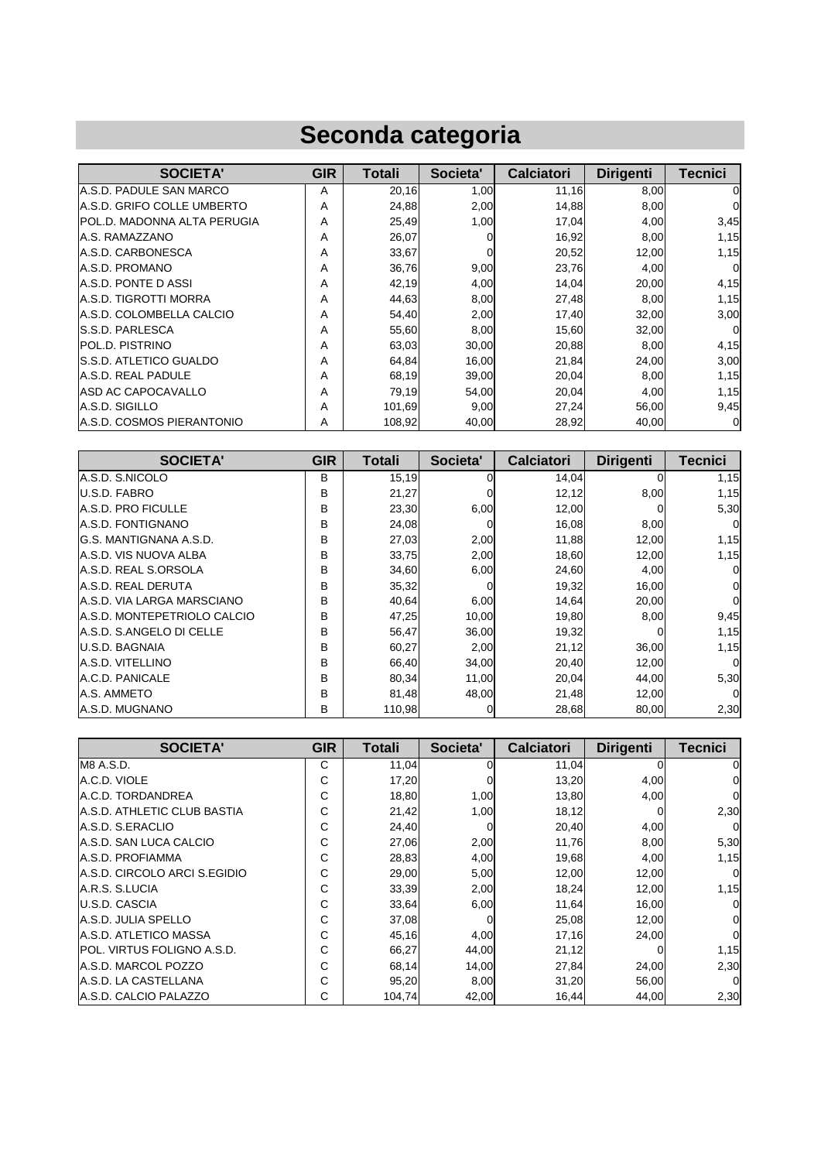## **Seconda categoria**

| <b>SOCIETA'</b>                  | <b>GIR</b> | Totali | Societa' | <b>Calciatori</b> | <b>Dirigenti</b> | Tecnici     |
|----------------------------------|------------|--------|----------|-------------------|------------------|-------------|
| IA.S.D. PADULE SAN MARCO         | A          | 20,16  | 1,00     | 11,16             | 8,00             | 0           |
| IA.S.D. GRIFO COLLE UMBERTO      | A          | 24,88  | 2,00     | 14,88             | 8,00             | n           |
| IPOL.D. MADONNA ALTA PERUGIA     | A          | 25,49  | 1,00     | 17,04             | 4,00             | 3,45        |
| A.S. RAMAZZANO                   | A          | 26,07  |          | 16,92             | 8,00             | 1,15        |
| <b>A.S.D. CARBONESCA</b>         | A          | 33,67  | 0        | 20,52             | 12,00            | 1,15        |
| A.S.D. PROMANO                   | A          | 36,76  | 9,00     | 23,76             | 4,00             | 0           |
| IA.S.D. PONTE D ASSI             | A          | 42,19  | 4,00     | 14,04             | 20,00            | 4,15        |
| <b>A.S.D. TIGROTTI MORRA</b>     | A          | 44,63  | 8,00     | 27,48             | 8,00             | 1,15        |
| A.S.D. COLOMBELLA CALCIO         | Α          | 54,40  | 2,00     | 17.40             | 32,00            | 3,00        |
| <b>IS.S.D. PARLESCA</b>          | A          | 55,60  | 8,00     | 15,60             | 32,00            | $\Omega$    |
| POL.D. PISTRINO                  | A          | 63,03  | 30,00    | 20,88             | 8,00             | 4,15        |
| <b>S.S.D. ATLETICO GUALDO</b>    | A          | 64,84  | 16,00    | 21,84             | 24,00            | 3,00        |
| A.S.D. REAL PADULE               | A          | 68,19  | 39,00    | 20,04             | 8,00             | 1,15        |
| <b>ASD AC CAPOCAVALLO</b>        | A          | 79,19  | 54,00    | 20,04             | 4,00             | 1,15        |
| A.S.D. SIGILLO                   | A          | 101,69 | 9,00     | 27,24             | 56,00            | 9,45        |
| <b>A.S.D. COSMOS PIERANTONIO</b> | A          | 108.92 | 40.00    | 28,92             | 40,00            | $\mathbf 0$ |

| <b>SOCIETA'</b>                   | <b>GIR</b>   | Totali | Societa' | <b>Calciatori</b> | <b>Dirigenti</b> | <b>Tecnici</b> |
|-----------------------------------|--------------|--------|----------|-------------------|------------------|----------------|
| A.S.D. S.NICOLO                   | B            | 15,19  |          | 14,04             |                  | 1,15           |
| U.S.D. FABRO                      | B            | 21,27  |          | 12,12             | 8,00             | 1,15           |
| <b>A.S.D. PRO FICULLE</b>         | B            | 23,30  | 6,00     | 12,00             |                  | 5,30           |
| <b>A.S.D. FONTIGNANO</b>          | B            | 24,08  | 0        | 16,08             | 8,00             |                |
| IG.S. MANTIGNANA A.S.D.           | B            | 27,03  | 2,00     | 11,88             | 12,00            | 1,15           |
| A.S.D. VIS NUOVA ALBA             | B            | 33,75  | 2,00     | 18,60             | 12,00            | 1,15           |
| A.S.D. REAL S.ORSOLA              | B            | 34,60  | 6,00     | 24,60             | 4,00             |                |
| <b>A.S.D. REAL DERUTA</b>         | B            | 35,32  | $\Omega$ | 19,32             | 16,00            | 01             |
| <b>A.S.D. VIA LARGA MARSCIANO</b> | <sub>B</sub> | 40,64  | 6,00     | 14,64             | 20,00            | 0              |
| IA.S.D. MONTEPETRIOLO CALCIO      | B            | 47,25  | 10,00    | 19,80             | 8,00             | 9,45           |
| IA.S.D. S.ANGELO DI CELLE         | B            | 56,47  | 36,00    | 19,32             |                  | 1,15           |
| U.S.D. BAGNAIA                    | B            | 60,27  | 2,00     | 21,12             | 36,00            | 1,15           |
| A.S.D. VITELLINO                  | B            | 66,40  | 34,00    | 20,40             | 12,00            | $\Omega$       |
| A.C.D. PANICALE                   | B            | 80,34  | 11,00    | 20,04             | 44,00            | 5,30           |
| A.S. AMMETO                       | B            | 81,48  | 48,00    | 21,48             | 12,00            | $\Omega$       |
| A.S.D. MUGNANO                    | B            | 110,98 | 0        | 28,68             | 80,00            | 2,30           |

| <b>SOCIETA'</b>                    | <b>GIR</b> | Totali | Societa' | <b>Calciatori</b> | <b>Dirigenti</b> | <b>Tecnici</b> |
|------------------------------------|------------|--------|----------|-------------------|------------------|----------------|
| M8 A.S.D.                          | C          | 11,04  |          | 11,04             |                  | 0              |
| A.C.D. VIOLE                       | С          | 17,20  |          | 13,20             | 4,00             | 0              |
| A.C.D. TORDANDREA                  | С          | 18,80  | 1,00     | 13,80             | 4,00             | $\Omega$       |
| IA.S.D. ATHLETIC CLUB BASTIA       | С          | 21,42  | 1,00     | 18,12             |                  | 2,30           |
| A.S.D. S.ERACLIO                   | С          | 24,40  |          | 20,40             | 4,00             | $\Omega$       |
| A.S.D. SAN LUCA CALCIO             | C          | 27,06  | 2,00     | 11,76             | 8,00             | 5,30           |
| A.S.D. PROFIAMMA                   | C          | 28,83  | 4,00     | 19,68             | 4,00             | 1,15           |
| A.S.D. CIRCOLO ARCI S.EGIDIO       | С          | 29,00  | 5,00     | 12,00             | 12,00            | $\overline{0}$ |
| A.R.S. S.LUCIA                     | С          | 33,39  | 2,00     | 18,24             | 12,00            | 1,15           |
| U.S.D. CASCIA                      | С          | 33,64  | 6,00     | 11,64             | 16,00            | 0              |
| <b>A.S.D. JULIA SPELLO</b>         | С          | 37,08  |          | 25,08             | 12,00            | $\Omega$       |
| <b>A.S.D. ATLETICO MASSA</b>       | С          | 45,16  | 4,00     | 17,16             | 24,00            | $\Omega$       |
| <b>IPOL. VIRTUS FOLIGNO A.S.D.</b> | C          | 66,27  | 44,00    | 21,12             |                  | 1,15           |
| <b>A.S.D. MARCOL POZZO</b>         | C          | 68,14  | 14,00    | 27,84             | 24,00            | 2,30           |
| <b>A.S.D. LA CASTELLANA</b>        | С          | 95,20  | 8,00     | 31,20             | 56,00            | $\Omega$       |
| A.S.D. CALCIO PALAZZO              | C          | 104,74 | 42,00    | 16,44             | 44,00            | 2,30           |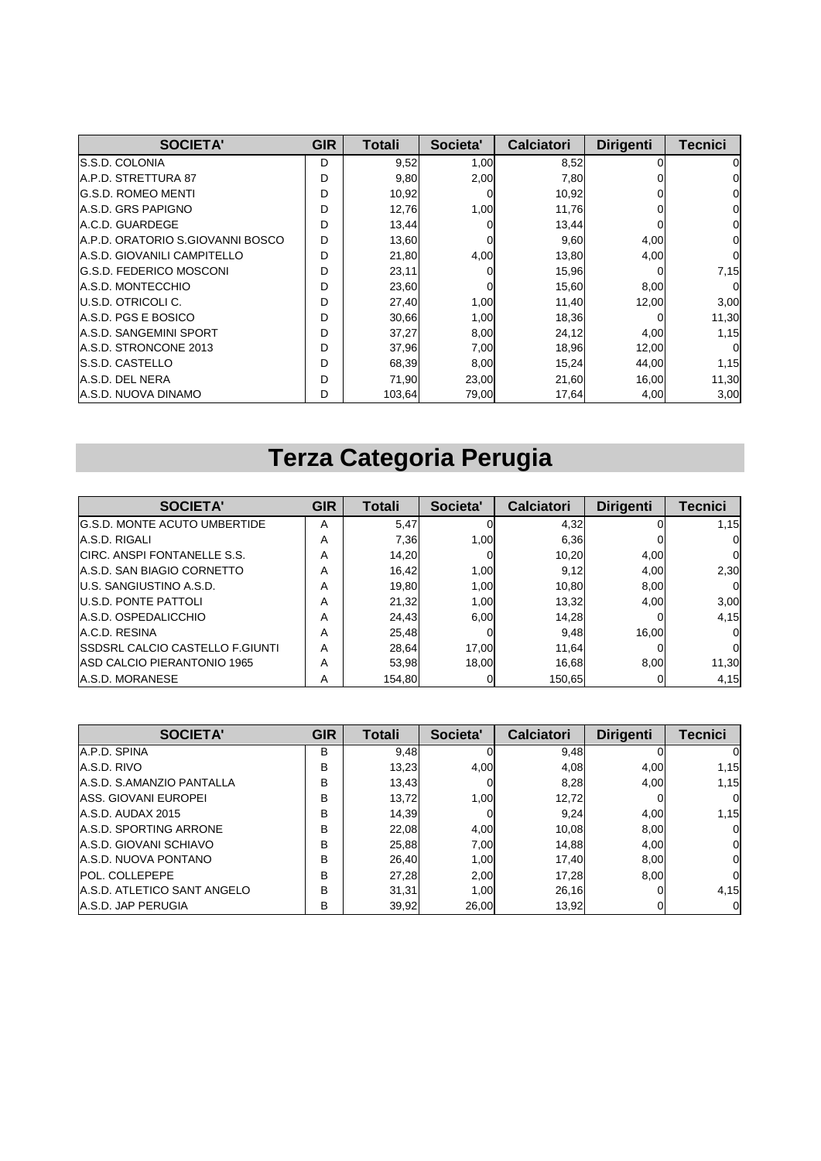| <b>SOCIETA'</b>                  | <b>GIR</b> | Totali | Societa' | <b>Calciatori</b> | <b>Dirigenti</b> | <b>Tecnici</b> |
|----------------------------------|------------|--------|----------|-------------------|------------------|----------------|
| <b>S.S.D. COLONIA</b>            | D          | 9,52   | 1,00     | 8,52              |                  | 0              |
| <b>IA.P.D. STRETTURA 87</b>      | D          | 9,80   | 2,00     | 7,80              |                  | 0              |
| <b>IG.S.D. ROMEO MENTI</b>       | D          | 10,92  | 0        | 10,92             |                  | 0              |
| <b>A.S.D. GRS PAPIGNO</b>        | D          | 12,76  | 1,00     | 11,76             |                  | 0              |
| A.C.D. GUARDEGE                  | D          | 13,44  |          | 13,44             |                  | 0              |
| A.P.D. ORATORIO S.GIOVANNI BOSCO | D          | 13,60  |          | 9,60              | 4,00             | 0              |
| IA.S.D. GIOVANILI CAMPITELLO     | D          | 21,80  | 4,00     | 13,80             | 4,00             | $\Omega$       |
| IG.S.D. FEDERICO MOSCONI         | D          | 23,11  |          | 15,96             |                  | 7,15           |
| <b>A.S.D. MONTECCHIO</b>         | D          | 23,60  |          | 15,60             | 8,00             | $\Omega$       |
| IU.S.D. OTRICOLI C.              | D          | 27,40  | 1,00     | 11,40             | 12,00            | 3,00           |
| IA.S.D. PGS E BOSICO             | D          | 30,66  | 1,00     | 18,36             |                  | 11,30          |
| <b>A.S.D. SANGEMINI SPORT</b>    | D          | 37,27  | 8,00     | 24,12             | 4,00             | 1,15           |
| A.S.D. STRONCONE 2013            | D          | 37,96  | 7,00     | 18,96             | 12,00            | $\Omega$       |
| <b>S.S.D. CASTELLO</b>           | D          | 68,39  | 8,00     | 15,24             | 44,00            | 1,15           |
| A.S.D. DEL NERA                  | D          | 71,90  | 23,00    | 21,60             | 16,00            | 11,30          |
| A.S.D. NUOVA DINAMO              | D          | 103,64 | 79,00    | 17,64             | 4,00             | 3,00           |

# **Terza Categoria Perugia**

| <b>SOCIETA'</b>                         | <b>GIR</b> | Totali | Societa'       | <b>Calciatori</b> | <b>Dirigenti</b> | <b>Tecnici</b> |
|-----------------------------------------|------------|--------|----------------|-------------------|------------------|----------------|
| <b>G.S.D. MONTE ACUTO UMBERTIDE</b>     | А          | 5,47   |                | 4,32              |                  | 1.15           |
| A.S.D. RIGALI                           | A          | 7,36   | 1.00           | 6.36              |                  |                |
| CIRC. ANSPI FONTANELLE S.S.             | A          | 14.20  |                | 10.20             | 4.00             |                |
| <b>A.S.D. SAN BIAGIO CORNETTO</b>       | А          | 16.42  | 1.00           | 9,12              | 4.00             | 2,30           |
| <b>U.S. SANGIUSTINO A.S.D.</b>          | А          | 19.80  | 1.00           | 10.80             | 8.00             |                |
| <b>U.S.D. PONTE PATTOLI</b>             | А          | 21,32  | 1.00           | 13,32             | 4.00             | 3,00           |
| A.S.D. OSPEDALICCHIO                    | Α          | 24.43  | 6.00           | 14,28             |                  | 4,15           |
| A.C.D. RESINA                           | А          | 25,48  |                | 9.48              | 16.00            |                |
| <b>ISSDSRL CALCIO CASTELLO F.GIUNTI</b> | А          | 28.64  | 17.00          | 11.64             |                  |                |
| <b>ASD CALCIO PIERANTONIO 1965</b>      | А          | 53.98  | 18.00          | 16.68             | 8.00             | 11,30          |
| A.S.D. MORANESE                         | A          | 154.80 | $\overline{0}$ | 150.65            |                  | 4,15           |

| <b>SOCIETA'</b>               | <b>GIR</b> | Totali | Societa' | <b>Calciatori</b> | <b>Dirigenti</b> | <b>Tecnici</b> |
|-------------------------------|------------|--------|----------|-------------------|------------------|----------------|
| A.P.D. SPINA                  | в          | 9,48   |          | 9.48              |                  |                |
| A.S.D. RIVO                   | B          | 13,23  | 4.00     | 4.08              | 4.00             | 1,15           |
| A.S.D. S.AMANZIO PANTALLA     | B          | 13,43  | 01       | 8.28              | 4.00             | 1,15           |
| ASS. GIOVANI EUROPEI          | B          | 13,72  | 1.00     | 12,72             |                  | 0              |
| A.S.D. AUDAX 2015             | B          | 14,39  | 0        | 9.24              | 4,00             | 1,15           |
| <b>A.S.D. SPORTING ARRONE</b> | B          | 22.08  | 4.00     | 10.08             | 8,00             | 0              |
| A.S.D. GIOVANI SCHIAVO        | B          | 25,88  | 7.00     | 14.88             | 4,00             | $\Omega$       |
| A.S.D. NUOVA PONTANO          | B          | 26,40  | 1.00     | 17.40             | 8.00             | $\Omega$       |
| <b>POL. COLLEPEPE</b>         | B          | 27,28  | 2,00     | 17.28             | 8,00             | 0              |
| A.S.D. ATLETICO SANT ANGELO   | B          | 31.31  | 1.00     | 26,16             |                  | 4,15           |
| <b>A.S.D. JAP PERUGIA</b>     | B          | 39,92  | 26,00    | 13,92             |                  |                |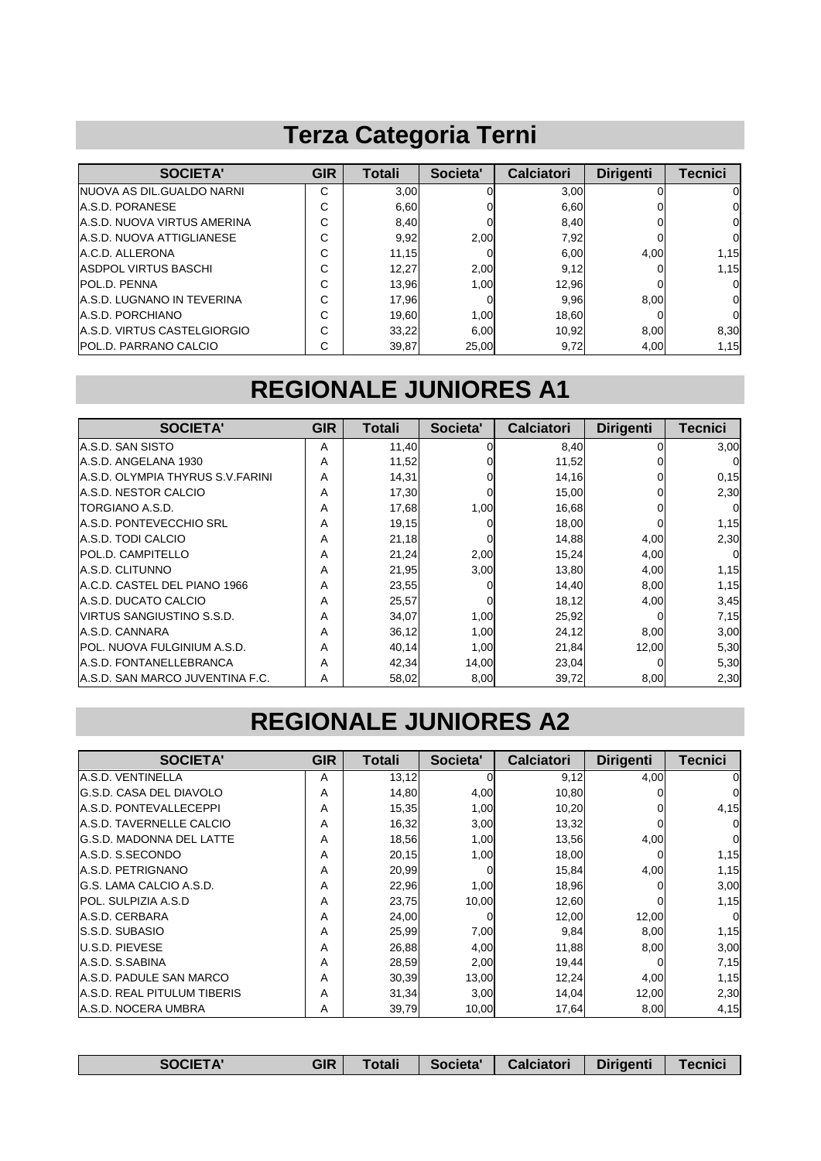## **Terza Categoria Terni**

| <b>SOCIETA'</b>                    | <b>GIR</b> | Totali | Societa' | <b>Calciatori</b> | <b>Dirigenti</b> | Tecnici  |
|------------------------------------|------------|--------|----------|-------------------|------------------|----------|
| INUOVA AS DIL.GUALDO NARNI         | C          | 3,00   |          | 3,00              |                  | O.       |
| <b>IA.S.D. PORANESE</b>            | С          | 6,60   |          | 6,60              |                  | ΟI       |
| <b>A.S.D. NUOVA VIRTUS AMERINA</b> | С          | 8,40   |          | 8,40              |                  | 01       |
| A.S.D. NUOVA ATTIGLIANESE          | С          | 9,92   | 2.00     | 7,92              |                  | $\Omega$ |
| A.C.D. ALLERONA                    | С          | 11,15  |          | 6,00              | 4,00             | 1,15     |
| <b>ASDPOL VIRTUS BASCHI</b>        | С          | 12,27  | 2,00     | 9,12              |                  | 1,15     |
| <b>POL.D. PENNA</b>                | С          | 13,96  | 1.00     | 12,96             |                  | 0.       |
| A.S.D. LUGNANO IN TEVERINA         | C          | 17,96  |          | 9.96              | 8.00             | 01       |
| A.S.D. PORCHIANO                   | С          | 19,60  | 1.00     | 18.60             |                  | $\Omega$ |
| <b>A.S.D. VIRTUS CASTELGIORGIO</b> | C          | 33,22  | 6,00     | 10,92             | 8,00             | 8,30     |
| <b>POL.D. PARRANO CALCIO</b>       | C          | 39,87  | 25,00    | 9,72              | 4,00             | 1,15     |

#### **REGIONALE JUNIORES A1**

| <b>SOCIETA'</b>                     | <b>GIR</b> | Totali | Societa'     | <b>Calciatori</b> | <b>Dirigenti</b> | Tecnici  |
|-------------------------------------|------------|--------|--------------|-------------------|------------------|----------|
| A.S.D. SAN SISTO                    | A          | 11,40  | 0            | 8,40              |                  | 3,00     |
| IA.S.D. ANGELANA 1930               | Α          | 11,52  |              | 11,52             |                  |          |
| A.S.D. OLYMPIA THYRUS S.V.FARINI    | A          | 14,31  |              | 14,16             |                  | 0, 15    |
| A.S.D. NESTOR CALCIO                | A          | 17,30  |              | 15,00             |                  | 2,30     |
| <b>TORGIANO A.S.D.</b>              | Α          | 17,68  | 1,00         | 16,68             |                  | 0        |
| IA.S.D. PONTEVECCHIO SRL            | A          | 19,15  |              | 18,00             |                  | 1,15     |
| A.S.D. TODI CALCIO                  | A          | 21,18  | $\Omega$     | 14,88             | 4,00             | 2,30     |
| <b>POL.D. CAMPITELLO</b>            | A          | 21,24  | 2,00         | 15,24             | 4,00             | $\Omega$ |
| A.S.D. CLITUNNO                     | A          | 21,95  | 3,00         | 13,80             | 4,00             | 1,15     |
| A.C.D. CASTEL DEL PIANO 1966        | Α          | 23,55  | <sup>0</sup> | 14.40             | 8,00             | 1,15     |
| IA.S.D. DUCATO CALCIO               | A          | 25,57  | $\Omega$     | 18,12             | 4,00             | 3,45     |
| IVIRTUS SANGIUSTINO S.S.D.          | A          | 34,07  | 1,00         | 25,92             |                  | 7,15     |
| A.S.D. CANNARA                      | A          | 36,12  | 1,00         | 24,12             | 8,00             | 3,00     |
| <b>IPOL. NUOVA FULGINIUM A.S.D.</b> | A          | 40,14  | 1,00         | 21,84             | 12,00            | 5,30     |
| A.S.D. FONTANELLEBRANCA             | A          | 42,34  | 14,00        | 23,04             |                  | 5,30     |
| IA.S.D. SAN MARCO JUVENTINA F.C.    | A          | 58,02  | 8,00         | 39,72             | 8,00             | 2,30     |

#### **REGIONALE JUNIORES A2**

| <b>SOCIETA'</b>                    | <b>GIR</b> | <b>Totali</b> | Societa' | <b>Calciatori</b> | <b>Dirigenti</b> | <b>Tecnici</b> |
|------------------------------------|------------|---------------|----------|-------------------|------------------|----------------|
| lA.S.D. VENTINELLA                 | A          | 13,12         | 0        | 9,12              | 4,00             | 0              |
| <b>G.S.D. CASA DEL DIAVOLO</b>     | A          | 14,80         | 4,00     | 10,80             |                  |                |
| <b>IA.S.D. PONTEVALLECEPPI</b>     | A          | 15,35         | 1,00     | 10,20             |                  | 4,15           |
| <b>IA.S.D. TAVERNELLE CALCIO</b>   | A          | 16,32         | 3,00     | 13,32             |                  |                |
| <b>IG.S.D. MADONNA DEL LATTE</b>   | A          | 18,56         | 1,00     | 13,56             | 4,00             | 0              |
| A.S.D. S.SECONDO                   | A          | 20,15         | 1,00     | 18,00             |                  | 1,15           |
| A.S.D. PETRIGNANO                  | A          | 20,99         | 0        | 15,84             | 4,00             | 1,15           |
| IG.S. LAMA CALCIO A.S.D.           | A          | 22,96         | 1,00     | 18,96             |                  | 3,00           |
| <b>POL. SULPIZIA A.S.D</b>         | A          | 23,75         | 10,00    | 12,60             |                  | 1,15           |
| A.S.D. CERBARA                     | A          | 24,00         | 0        | 12,00             | 12,00            | $\Omega$       |
| <b>S.S.D. SUBASIO</b>              | A          | 25,99         | 7,00     | 9,84              | 8,00             | 1,15           |
| <b>U.S.D. PIEVESE</b>              | A          | 26,88         | 4,00     | 11,88             | 8,00             | 3,00           |
| A.S.D. S.SABINA                    | A          | 28,59         | 2,00     | 19,44             |                  | 7,15           |
| A.S.D. PADULE SAN MARCO            | A          | 30,39         | 13,00    | 12,24             | 4,00             | 1,15           |
| <b>A.S.D. REAL PITULUM TIBERIS</b> | A          | 31,34         | 3,00     | 14,04             | 12,00            | 2,30           |
| A.S.D. NOCERA UMBRA                | A          | 39,79         | 10,00    | 17,64             | 8,00             | 4,15           |

| GIR<br><b>SOCIETA'</b> | Totali | Societa' | <b>Calciatori</b> | <b>Dirigenti</b> | <b>Tecnici</b> |
|------------------------|--------|----------|-------------------|------------------|----------------|
|------------------------|--------|----------|-------------------|------------------|----------------|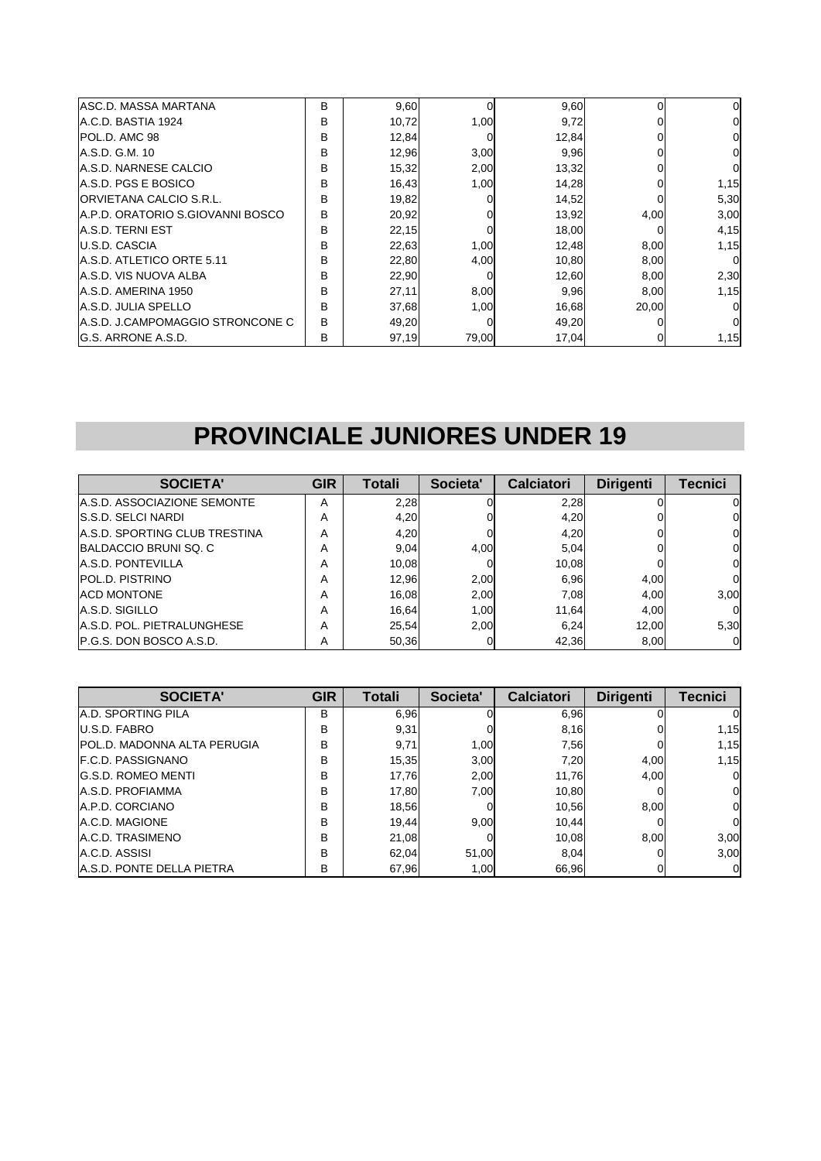| IASC.D. MASSA MARTANA            | B | 9,60  | $\Omega$ | 9,60  |       | 0        |
|----------------------------------|---|-------|----------|-------|-------|----------|
| IA.C.D. BASTIA 1924              | B | 10,72 | 1.00     | 9,72  |       |          |
| <b>POL.D. AMC 98</b>             | в | 12,84 | 0        | 12,84 |       |          |
| A.S.D. G.M. 10                   | B | 12,96 | 3,00     | 9,96  |       |          |
| <b>IA.S.D. NARNESE CALCIO</b>    | B | 15,32 | 2,00     | 13,32 |       |          |
| A.S.D. PGS E BOSICO              | B | 16,43 | 1,00     | 14,28 |       | 1,15     |
| <b>ORVIETANA CALCIO S.R.L.</b>   | B | 19,82 | 0        | 14,52 |       | 5,30     |
| A.P.D. ORATORIO S.GIOVANNI BOSCO | в | 20,92 |          | 13,92 | 4,00  | 3,00     |
| A.S.D. TERNI EST                 | B | 22,15 | 0        | 18,00 |       | 4,15     |
| U.S.D. CASCIA                    | B | 22,63 | 1,00     | 12,48 | 8,00  | 1,15     |
| A.S.D. ATLETICO ORTE 5.11        | B | 22,80 | 4,00     | 10,80 | 8,00  | $\Omega$ |
| IA.S.D. VIS NUOVA ALBA           | B | 22,90 |          | 12,60 | 8,00  | 2,30     |
| A.S.D. AMERINA 1950              | В | 27,11 | 8,00     | 9,96  | 8,00  | 1,15     |
| A.S.D. JULIA SPELLO              | B | 37,68 | 1.00     | 16,68 | 20.00 | $\Omega$ |
| A.S.D. J.CAMPOMAGGIO STRONCONE C | B | 49,20 | 0        | 49,20 |       |          |
| <b>G.S. ARRONE A.S.D.</b>        | В | 97,19 | 79,00    | 17,04 |       | 1,15     |

#### **PROVINCIALE JUNIORES UNDER 19**

| <b>SOCIETA'</b>                      | <b>GIR</b> | Totali | Societa' | <b>Calciatori</b> | <b>Dirigenti</b> | Tecnici  |
|--------------------------------------|------------|--------|----------|-------------------|------------------|----------|
| A.S.D. ASSOCIAZIONE SEMONTE          | A          | 2,28   |          | 2,28              |                  | O        |
| <b>S.S.D. SELCI NARDI</b>            | А          | 4,20   |          | 4,20              |                  | 0        |
| <b>A.S.D. SPORTING CLUB TRESTINA</b> | А          | 4,20   | 0        | 4,20              |                  | $\Omega$ |
| BALDACCIO BRUNI SQ. C                | А          | 9,04   | 4,00     | 5,04              |                  | 0        |
| <b>A.S.D. PONTEVILLA</b>             | Α          | 10,08  |          | 10.08             |                  | 0        |
| <b>POL.D. PISTRINO</b>               | А          | 12,96  | 2.00     | 6.96              | 4,00             | 0        |
| <b>ACD MONTONE</b>                   | А          | 16,08  | 2,00     | 7.08              | 4.00             | 3,00     |
| A.S.D. SIGILLO                       | А          | 16,64  | 1,00     | 11,64             | 4.00             | $\Omega$ |
| <b>A.S.D. POL. PIETRALUNGHESE</b>    | A          | 25,54  | 2.00     | 6.24              | 12.00            | 5,30     |
| <b>P.G.S. DON BOSCO A.S.D.</b>       | Α          | 50,36  |          | 42,36             | 8,00             |          |

| <b>SOCIETA'</b>                    | <b>GIR</b> | Totali | Societa' | <b>Calciatori</b> | <b>Dirigenti</b> | <b>Tecnici</b> |
|------------------------------------|------------|--------|----------|-------------------|------------------|----------------|
| <b>A.D. SPORTING PILA</b>          | в          | 6,96   |          | 6,96              |                  |                |
| U.S.D. FABRO                       | B          | 9,31   |          | 8,16              |                  | 1,15           |
| <b>POL.D. MADONNA ALTA PERUGIA</b> | B          | 9,71   | 1.00     | 7,56              |                  | 1,15           |
| F.C.D. PASSIGNANO                  | B          | 15,35  | 3,00     | 7,20              | 4,00             | 1,15           |
| <b>G.S.D. ROMEO MENTI</b>          | B          | 17.76  | 2,00     | 11,76             | 4.00             | 01             |
| A.S.D. PROFIAMMA                   | B          | 17.80  | 7.00     | 10.80             |                  | 01             |
| A.P.D. CORCIANO                    | B          | 18,56  | 0        | 10.56             | 8,00             | ΟI             |
| A.C.D. MAGIONE                     | B          | 19.44  | 9.00     | 10.44             |                  | ΟI             |
| A.C.D. TRASIMENO                   | B          | 21,08  |          | 10.08             | 8,00             | 3,00           |
| A.C.D. ASSISI                      | B          | 62.04  | 51.00    | 8,04              |                  | 3,00           |
| <b>A.S.D. PONTE DELLA PIETRA</b>   | В          | 67,96  | 1,00     | 66,96             |                  | OI             |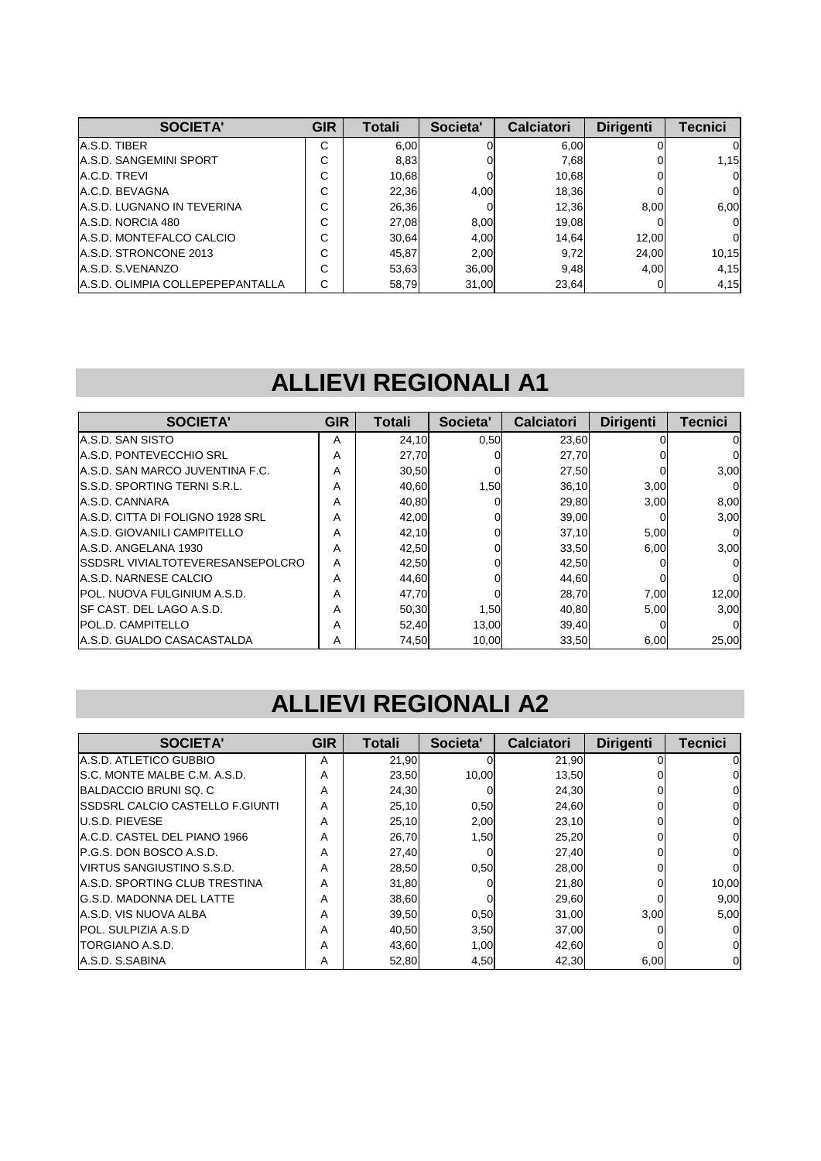| SOCIETA'                          | <b>GIR</b>  | Totali | Societa' | <b>Calciatori</b> | <b>Dirigenti</b> | <b>Tecnici</b> |
|-----------------------------------|-------------|--------|----------|-------------------|------------------|----------------|
| A.S.D. TIBER                      | С           | 6,00   |          | 6.00              |                  | 0              |
| <b>A.S.D. SANGEMINI SPORT</b>     | С           | 8,83   |          | 7,68              |                  | 1,15           |
| A.C.D. TREVI                      | С           | 10,68  |          | 10,68             |                  | $\Omega$       |
| A.C.D. BEVAGNA                    | $\sim$<br>U | 22,36  | 4.00     | 18,36             |                  | $\overline{0}$ |
| <b>A.S.D. LUGNANO IN TEVERINA</b> | С           | 26,36  |          | 12,36             | 8.00             | 6,00           |
| A.S.D. NORCIA 480                 | С           | 27,08  | 8.00     | 19,08             |                  | $\Omega$       |
| A.S.D. MONTEFALCO CALCIO          | С           | 30,64  | 4.00     | 14.64             | 12.00            | 0              |
| A.S.D. STRONCONE 2013             | С           | 45,87  | 2,00     | 9,72              | 24,00            | 10,15          |
| A.S.D. S.VENANZO                  | С           | 53,63  | 36,00    | 9,48              | 4.00             | 4,15           |
| A.S.D. OLIMPIA COLLEPEPEPANTALLA  | C           | 58,79  | 31,00    | 23,64             |                  | 4,15           |

#### **ALLIEVI REGIONALI A1**

| <b>SOCIETA'</b>                          | <b>GIR</b> | Totali | Societa' | <b>Calciatori</b> | <b>Dirigenti</b> | <b>Tecnici</b> |
|------------------------------------------|------------|--------|----------|-------------------|------------------|----------------|
| A.S.D. SAN SISTO                         | A          | 24,10  | 0,50     | 23,60             |                  | 0              |
| <b>A.S.D. PONTEVECCHIO SRL</b>           | A          | 27,70  |          | 27,70             |                  |                |
| A.S.D. SAN MARCO JUVENTINA F.C.          | A          | 30,50  |          | 27,50             |                  | 3,00           |
| <b>IS.S.D. SPORTING TERNI S.R.L.</b>     | A          | 40,60  | 1,50     | 36,10             | 3,00             |                |
| A.S.D. CANNARA                           | A          | 40,80  |          | 29,80             | 3,00             | 8,00           |
| A.S.D. CITTA DI FOLIGNO 1928 SRL         | A          | 42,00  |          | 39,00             |                  | 3,00           |
| <b>A.S.D. GIOVANILI CAMPITELLO</b>       | A          | 42,10  |          | 37,10             | 5,00             |                |
| A.S.D. ANGELANA 1930                     | A          | 42,50  |          | 33,50             | 6,00             | 3,00           |
| <b>ISSDSRL VIVIALTOTEVERESANSEPOLCRO</b> | A          | 42,50  |          | 42,50             |                  |                |
| A.S.D. NARNESE CALCIO                    | A          | 44,60  |          | 44,60             |                  |                |
| <b>IPOL. NUOVA FULGINIUM A.S.D.</b>      | A          | 47,70  |          | 28,70             | 7,00             | 12,00          |
| ISF CAST. DEL LAGO A.S.D.                | A          | 50,30  | 1,50     | 40,80             | 5.00             | 3,00           |
| <b>POL.D. CAMPITELLO</b>                 | A          | 52,40  | 13,00    | 39,40             |                  | O              |
| IA.S.D. GUALDO CASACASTALDA              | A          | 74,50  | 10.00    | 33,50             | 6,00             | 25,00          |

#### **ALLIEVI REGIONALI A2**

| <b>SOCIETA'</b>                         | <b>GIR</b> | Totali | Societa' | <b>Calciatori</b> | <b>Dirigenti</b> | <b>Tecnici</b> |
|-----------------------------------------|------------|--------|----------|-------------------|------------------|----------------|
| A.S.D. ATLETICO GUBBIO                  | A          | 21,90  |          | 21.90             |                  |                |
| S.C. MONTE MALBE C.M. A.S.D.            | A          | 23,50  | 10,00    | 13,50             |                  |                |
| BALDACCIO BRUNI SQ. C                   | A          | 24,30  |          | 24,30             |                  |                |
| <b>ISSDSRL CALCIO CASTELLO F.GIUNTI</b> | A          | 25,10  | 0,50     | 24,60             |                  |                |
| <b>U.S.D. PIEVESE</b>                   | A          | 25,10  | 2,00     | 23,10             |                  |                |
| A.C.D. CASTEL DEL PIANO 1966            | A          | 26,70  | 1,50     | 25,20             |                  | 0              |
| <b>IP.G.S. DON BOSCO A.S.D.</b>         | A          | 27,40  | $\Omega$ | 27,40             |                  |                |
| <b>VIRTUS SANGIUSTINO S.S.D.</b>        | A          | 28,50  | 0,50     | 28,00             |                  |                |
| <b>IA.S.D. SPORTING CLUB TRESTINA</b>   | A          | 31,80  |          | 21,80             |                  | 10,00          |
| <b>G.S.D. MADONNA DEL LATTE</b>         | A          | 38,60  | U        | 29,60             |                  | 9,00           |
| <b>A.S.D. VIS NUOVA ALBA</b>            | A          | 39,50  | 0,50     | 31,00             | 3,00             | 5,00           |
| <b>POL. SULPIZIA A.S.D</b>              | A          | 40,50  | 3,50     | 37,00             |                  |                |
| <b>TORGIANO A.S.D.</b>                  | A          | 43,60  | 1,00     | 42,60             |                  |                |
| A.S.D. S.SABINA                         | A          | 52,80  | 4,50     | 42,30             | 6,00             | 0              |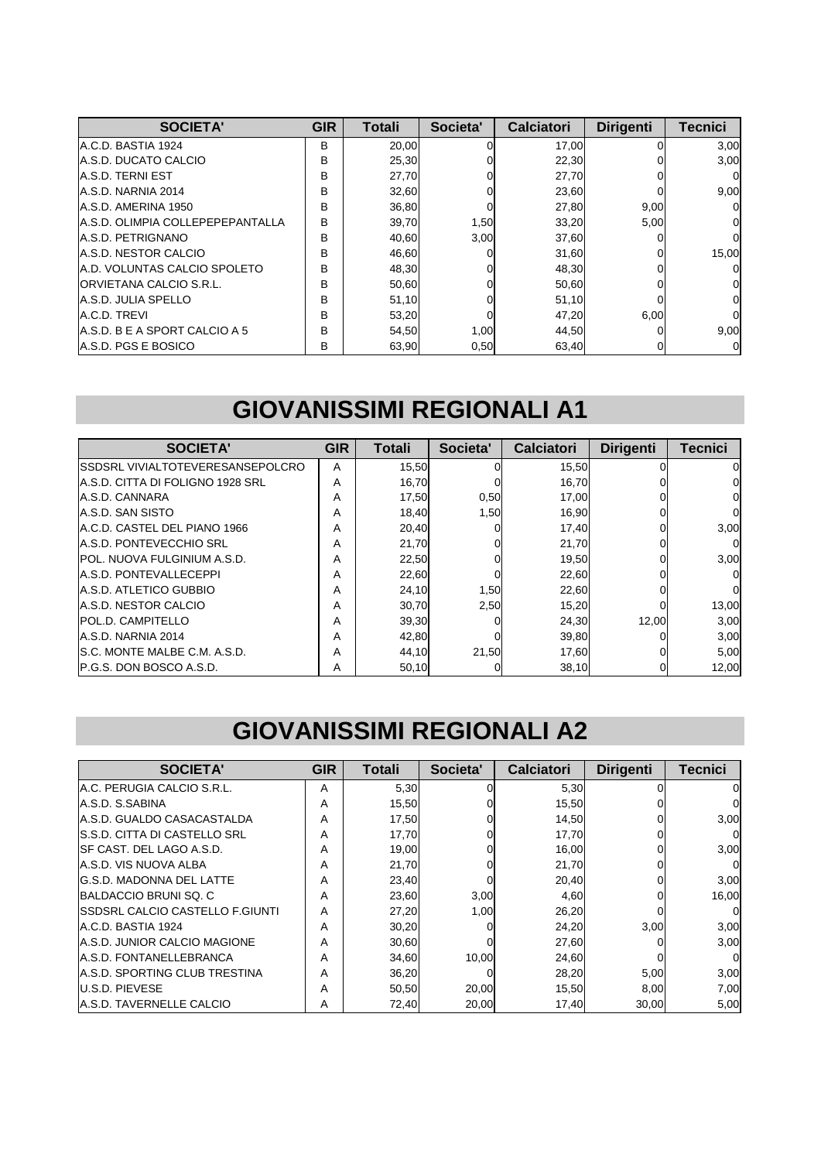| <b>SOCIETA'</b>                     | <b>GIR</b> | Totali | Societa' | <b>Calciatori</b> | <b>Dirigenti</b> | <b>Tecnici</b> |
|-------------------------------------|------------|--------|----------|-------------------|------------------|----------------|
| IA.C.D. BASTIA 1924                 | B          | 20,00  |          | 17,00             |                  | 3,00           |
| A.S.D. DUCATO CALCIO                | B          | 25,30  |          | 22,30             |                  | 3,00           |
| A.S.D. TERNI EST                    | B          | 27,70  |          | 27,70             |                  | $\Omega$       |
| A.S.D. NARNIA 2014                  | В          | 32,60  |          | 23,60             |                  | 9,00           |
| A.S.D. AMERINA 1950                 | B          | 36,80  |          | 27,80             | 9,00             | $\Omega$       |
| A.S.D. OLIMPIA COLLEPEPEPANTALLA    | в          | 39,70  | 1,50     | 33,20             | 5,00             | 0              |
| <b>A.S.D. PETRIGNANO</b>            | В          | 40,60  | 3,00     | 37,60             |                  | 0              |
| A.S.D. NESTOR CALCIO                | B          | 46,60  |          | 31,60             |                  | 15,00          |
| <b>A.D. VOLUNTAS CALCIO SPOLETO</b> | B          | 48,30  |          | 48,30             |                  | $\Omega$       |
| <b>ORVIETANA CALCIO S.R.L.</b>      | B          | 50,60  |          | 50,60             |                  | 0              |
| <b>A.S.D. JULIA SPELLO</b>          | B          | 51,10  |          | 51,10             |                  | 0              |
| A.C.D. TREVI                        | B          | 53,20  |          | 47,20             | 6,00             | 0              |
| A.S.D. B E A SPORT CALCIO A 5       | B          | 54,50  | 1,00     | 44,50             |                  | 9,00           |
| A.S.D. PGS E BOSICO                 | в          | 63,90  | 0,50     | 63,40             |                  | 0              |

## **GIOVANISSIMI REGIONALI A1**

| <b>SOCIETA'</b>                          | <b>GIR</b> | Totali | Societa' | <b>Calciatori</b> | <b>Dirigenti</b> | <b>Tecnici</b> |
|------------------------------------------|------------|--------|----------|-------------------|------------------|----------------|
| <b>ISSDSRL VIVIALTOTEVERESANSEPOLCRO</b> | Α          | 15,50  |          | 15,50             |                  |                |
| A.S.D. CITTA DI FOLIGNO 1928 SRL         | Α          | 16,70  |          | 16,70             |                  | O.             |
| A.S.D. CANNARA                           | Α          | 17,50  | 0,50     | 17,00             |                  |                |
| A.S.D. SAN SISTO                         | Α          | 18.40  | 1,50     | 16.90             |                  |                |
| A.C.D. CASTEL DEL PIANO 1966             | Α          | 20,40  |          | 17,40             |                  | 3,00           |
| A.S.D. PONTEVECCHIO SRL                  | Α          | 21,70  |          | 21,70             |                  |                |
| <b>IPOL. NUOVA FULGINIUM A.S.D.</b>      | A          | 22,50  |          | 19,50             |                  | 3,00           |
| <b>A.S.D. PONTEVALLECEPPI</b>            | Α          | 22,60  |          | 22,60             |                  |                |
| A.S.D. ATLETICO GUBBIO                   | Α          | 24,10  | 1,50     | 22,60             |                  |                |
| A.S.D. NESTOR CALCIO                     | Α          | 30,70  | 2,50     | 15,20             |                  | 13,00          |
| <b>POL.D. CAMPITELLO</b>                 | Α          | 39,30  |          | 24,30             | 12.00            | 3,00           |
| A.S.D. NARNIA 2014                       | Α          | 42,80  |          | 39,80             |                  | 3,00           |
| IS.C. MONTE MALBE C.M. A.S.D.            | Α          | 44,10  | 21,50    | 17,60             |                  | 5,00           |
| <b>IP.G.S. DON BOSCO A.S.D.</b>          | Α          | 50,10  |          | 38,10             |                  | 12,00          |

#### **GIOVANISSIMI REGIONALI A2**

| <b>SOCIETA'</b>                         | <b>GIR</b> | <b>Totali</b> | Societa' | <b>Calciatori</b> | <b>Dirigenti</b> | <b>Tecnici</b> |
|-----------------------------------------|------------|---------------|----------|-------------------|------------------|----------------|
| IA.C. PERUGIA CALCIO S.R.L.             | A          | 5,30          | $\Omega$ | 5,30              |                  |                |
| A.S.D. S.SABINA                         | A          | 15,50         |          | 15,50             |                  |                |
| A.S.D. GUALDO CASACASTALDA              | A          | 17,50         |          | 14,50             |                  | 3,00           |
| IS.S.D. CITTA DI CASTELLO SRL           | Α          | 17,70         |          | 17,70             |                  |                |
| ISF CAST. DEL LAGO A.S.D.               | A          | 19,00         |          | 16,00             |                  | 3,00           |
| <b>A.S.D. VIS NUOVA ALBA</b>            | A          | 21,70         |          | 21,70             |                  |                |
| <b>IG.S.D. MADONNA DEL LATTE</b>        | A          | 23,40         | ΩI       | 20,40             |                  | 3,00           |
| BALDACCIO BRUNI SQ. C                   | Α          | 23,60         | 3,00     | 4,60              |                  | 16,00          |
| <b>ISSDSRL CALCIO CASTELLO F.GIUNTI</b> | A          | 27,20         | 1,00     | 26,20             |                  |                |
| IA.C.D. BASTIA 1924                     | A          | 30,20         |          | 24,20             | 3,00             | 3,00           |
| <b>A.S.D. JUNIOR CALCIO MAGIONE</b>     | Α          | 30,60         |          | 27,60             |                  | 3,00           |
| <b>A.S.D. FONTANELLEBRANCA</b>          | Α          | 34,60         | 10.00    | 24,60             |                  |                |
| <b>A.S.D. SPORTING CLUB TRESTINA</b>    | A          | 36,20         |          | 28,20             | 5,00             | 3,00           |
| <b>U.S.D. PIEVESE</b>                   | A          | 50,50         | 20,00    | 15,50             | 8,00             | 7,00           |
| <b>A.S.D. TAVERNELLE CALCIO</b>         | A          | 72,40         | 20,00    | 17.40             | 30,00            | 5,00           |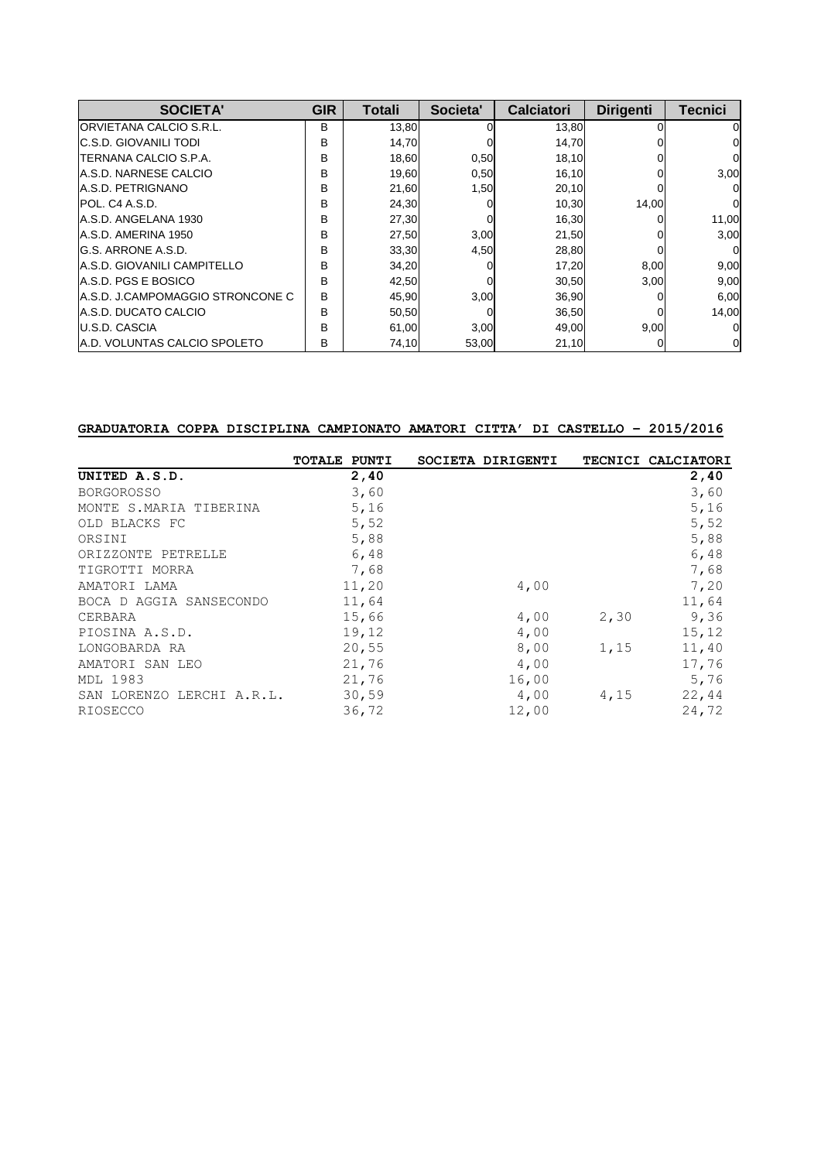| <b>SOCIETA'</b>                     | <b>GIR</b> | Totali | Societa' | <b>Calciatori</b> | <b>Dirigenti</b> | <b>Tecnici</b> |
|-------------------------------------|------------|--------|----------|-------------------|------------------|----------------|
| <b>ORVIETANA CALCIO S.R.L.</b>      | B          | 13,80  |          | 13,80             |                  | O              |
| <b>C.S.D. GIOVANILI TODI</b>        | В          | 14,70  |          | 14,70             |                  |                |
| <b>TERNANA CALCIO S.P.A.</b>        | B          | 18,60  | 0,50     | 18,10             |                  |                |
| A.S.D. NARNESE CALCIO               | B          | 19,60  | 0,50     | 16,10             |                  | 3,00           |
| A.S.D. PETRIGNANO                   | B          | 21,60  | 1,50     | 20,10             |                  |                |
| IPOL. C4 A.S.D.                     | B          | 24,30  |          | 10,30             | 14,00            | $\Omega$       |
| A.S.D. ANGELANA 1930                | B          | 27,30  |          | 16,30             |                  | 11,00          |
| A.S.D. AMERINA 1950                 | B          | 27,50  | 3,00     | 21,50             |                  | 3,00           |
| IG.S. ARRONE A.S.D.                 | B          | 33,30  | 4,50     | 28,80             |                  | $\Omega$       |
| <b>A.S.D. GIOVANILI CAMPITELLO</b>  | в          | 34,20  |          | 17,20             | 8,00             | 9,00           |
| <b>A.S.D. PGS E BOSICO</b>          | B          | 42,50  |          | 30,50             | 3,00             | 9,00           |
| A.S.D. J.CAMPOMAGGIO STRONCONE C    | B          | 45,90  | 3,00     | 36,90             |                  | 6,00           |
| A.S.D. DUCATO CALCIO                | B          | 50,50  |          | 36,50             |                  | 14,00          |
| <b>U.S.D. CASCIA</b>                | B          | 61,00  | 3,00     | 49,00             | 9,00             | $\Omega$       |
| <b>A.D. VOLUNTAS CALCIO SPOLETO</b> | B          | 74,10  | 53,00    | 21,10             |                  | 0              |

#### **GRADUATORIA COPPA DISCIPLINA CAMPIONATO AMATORI CITTA' DI CASTELLO – 2015/2016**

|                           | TOTALE PUNTI | SOCIETA DIRIGENTI |      | TECNICI CALCIATORI |
|---------------------------|--------------|-------------------|------|--------------------|
| UNITED A.S.D.             | 2,40         |                   |      | 2,40               |
| <b>BORGOROSSO</b>         | 3,60         |                   |      | 3,60               |
| MONTE S.MARIA TIBERINA    | 5,16         |                   |      | 5,16               |
| OLD BLACKS FC             | 5,52         |                   |      | 5,52               |
| ORSINI                    | 5,88         |                   |      | 5,88               |
| ORIZZONTE PETRELLE        | 6,48         |                   |      | 6,48               |
| TIGROTTI MORRA            | 7,68         |                   |      | 7,68               |
| AMATORI LAMA              | 11,20        | 4,00              |      | 7,20               |
| BOCA D AGGIA SANSECONDO   | 11,64        |                   |      | 11,64              |
| CERBARA                   | 15,66        | 4,00              | 2,30 | 9,36               |
| PIOSINA A.S.D.            | 19,12        | 4,00              |      | 15,12              |
| LONGOBARDA RA             | 20,55        | 8,00              | 1,15 | 11,40              |
| AMATORI SAN LEO           | 21,76        | 4,00              |      | 17,76              |
| <b>MDL 1983</b>           | 21,76        | 16,00             |      | 5,76               |
| SAN LORENZO LERCHI A.R.L. | 30,59        | 4,00              | 4,15 | 22,44              |
| RIOSECCO                  | 36,72        | 12,00             |      | 24,72              |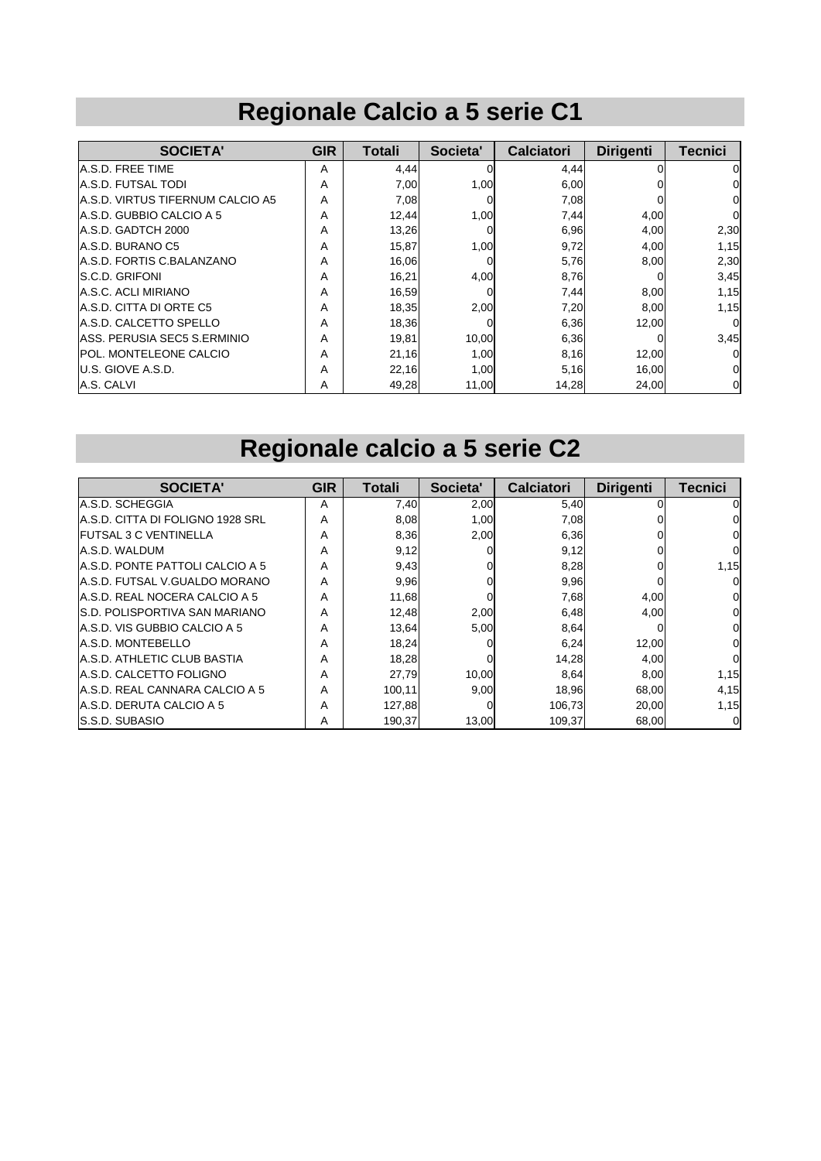## **Regionale Calcio a 5 serie C1**

| <b>SOCIETA'</b>                   | <b>GIR</b> | Totali | Societa' | <b>Calciatori</b> | <b>Dirigenti</b> | <b>Tecnici</b> |
|-----------------------------------|------------|--------|----------|-------------------|------------------|----------------|
| A.S.D. FREE TIME                  | A          | 4,44   | 0        | 4,44              |                  | 0              |
| A.S.D. FUTSAL TODI                | A          | 7,00   | 1,00     | 6,00              |                  | 0              |
| IA.S.D. VIRTUS TIFERNUM CALCIO A5 | A          | 7,08   | 0        | 7,08              |                  | 0              |
| A.S.D. GUBBIO CALCIO A 5          | A          | 12,44  | 1,00     | 7,44              | 4,00             | 0              |
| A.S.D. GADTCH 2000                | A          | 13,26  | 0        | 6,96              | 4,00             | 2,30           |
| A.S.D. BURANO C5                  | A          | 15,87  | 1,00     | 9,72              | 4,00             | 1,15           |
| IA.S.D. FORTIS C.BALANZANO        | A          | 16,06  | 0        | 5,76              | 8,00             | 2,30           |
| <b>S.C.D. GRIFONI</b>             | A          | 16,21  | 4,00     | 8,76              |                  | 3,45           |
| A.S.C. ACLI MIRIANO               | A          | 16,59  |          | 7,44              | 8,00             | 1,15           |
| <b>IA.S.D. CITTA DI ORTE C5</b>   | A          | 18,35  | 2,00     | 7,20              | 8,00             | 1,15           |
| IA.S.D. CALCETTO SPELLO           | A          | 18,36  | $\Omega$ | 6,36              | 12,00            | $\Omega$       |
| IASS. PERUSIA SEC5 S.ERMINIO      | A          | 19,81  | 10.00    | 6,36              |                  | 3,45           |
| <b>POL. MONTELEONE CALCIO</b>     | A          | 21,16  | 1,00     | 8,16              | 12,00            |                |
| U.S. GIOVE A.S.D.                 | A          | 22,16  | 1,00     | 5,16              | 16,00            | 0              |
| A.S. CALVI                        | A          | 49,28  | 11,00    | 14,28             | 24,00            |                |

# **Regionale calcio a 5 serie C2**

| <b>SOCIETA'</b>                       | <b>GIR</b> | <b>Totali</b> | Societa' | <b>Calciatori</b> | <b>Dirigenti</b> | Tecnici |
|---------------------------------------|------------|---------------|----------|-------------------|------------------|---------|
| A.S.D. SCHEGGIA                       | A          | 7,40          | 2,00     | 5,40              |                  |         |
| IA.S.D. CITTA DI FOLIGNO 1928 SRL     | A          | 8,08          | 1,00     | 7,08              |                  |         |
| <b>FUTSAL 3 C VENTINELLA</b>          | Α          | 8,36          | 2,00     | 6,36              |                  |         |
| A.S.D. WALDUM                         | Α          | 9,12          | $\Omega$ | 9,12              |                  | O       |
| IA.S.D. PONTE PATTOLI CALCIO A 5      | Α          | 9,43          | ΩI       | 8,28              |                  | 1,15    |
| <b>A.S.D. FUTSAL V.GUALDO MORANO</b>  | Α          | 9,96          |          | 9,96              |                  |         |
| IA.S.D. REAL NOCERA CALCIO A 5        | Α          | 11,68         | $\Omega$ | 7,68              | 4,00             |         |
| <b>IS.D. POLISPORTIVA SAN MARIANO</b> | A          | 12,48         | 2,00     | 6,48              | 4.00             | 0       |
| A.S.D. VIS GUBBIO CALCIO A 5          | Α          | 13,64         | 5,00     | 8,64              |                  |         |
| <b>A.S.D. MONTEBELLO</b>              | Α          | 18,24         |          | 6,24              | 12,00            | 0       |
| IA.S.D. ATHLETIC CLUB BASTIA          | A          | 18,28         | 0        | 14,28             | 4,00             | 0       |
| A.S.D. CALCETTO FOLIGNO               | A          | 27,79         | 10,00    | 8,64              | 8,00             | 1,15    |
| IA.S.D. REAL CANNARA CALCIO A 5       | Α          | 100,11        | 9,00     | 18,96             | 68,00            | 4,15    |
| A.S.D. DERUTA CALCIO A 5              | A          | 127,88        | $\Omega$ | 106,73            | 20,00            | 1,15    |
| <b>S.S.D. SUBASIO</b>                 | A          | 190,37        | 13,00    | 109,37            | 68,00            | 0       |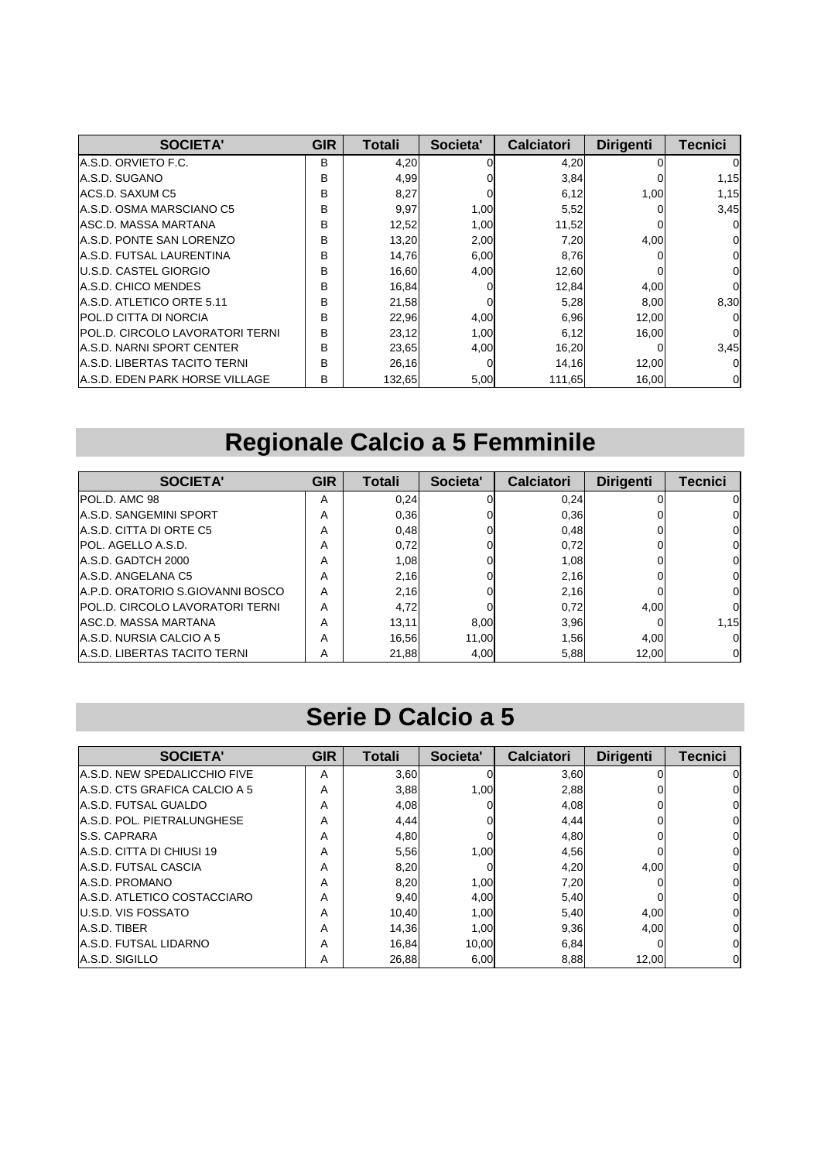| <b>SOCIETA'</b>                        | <b>GIR</b>   | Totali | Societa' | <b>Calciatori</b> | <b>Dirigenti</b> | <b>Tecnici</b> |
|----------------------------------------|--------------|--------|----------|-------------------|------------------|----------------|
| IA.S.D. ORVIETO F.C.                   | <sub>B</sub> | 4,20   | n        | 4,20              |                  |                |
| A.S.D. SUGANO                          | B            | 4,99   |          | 3,84              |                  | 1,15           |
| ACS.D. SAXUM C5                        | B            | 8,27   |          | 6,12              | 1,00             | 1,15           |
| A.S.D. OSMA MARSCIANO C5               | B            | 9,97   | 1,00     | 5,52              |                  | 3,45           |
| <b>ASC.D. MASSA MARTANA</b>            | B            | 12,52  | 1,00     | 11,52             |                  |                |
| <b>A.S.D. PONTE SAN LORENZO</b>        | B            | 13,20  | 2,00     | 7,20              | 4,00             |                |
| <b>A.S.D. FUTSAL LAURENTINA</b>        | B            | 14,76  | 6,00     | 8,76              |                  | 0              |
| <b>IU.S.D. CASTEL GIORGIO</b>          | B            | 16,60  | 4,00     | 12,60             |                  | 0              |
| A.S.D. CHICO MENDES                    | B            | 16,84  | 0        | 12,84             | 4,00             | O              |
| A.S.D. ATLETICO ORTE 5.11              | B            | 21,58  |          | 5,28              | 8,00             | 8,30           |
| IPOL.D CITTA DI NORCIA                 | B            | 22,96  | 4,00     | 6,96              | 12,00            |                |
| <b>POL.D. CIRCOLO LAVORATORI TERNI</b> | B            | 23,12  | 1,00     | 6,12              | 16.00            | O              |
| IA.S.D. NARNI SPORT CENTER             | B            | 23,65  | 4,00     | 16,20             |                  | 3,45           |
| A.S.D. LIBERTAS TACITO TERNI           | B            | 26,16  | 0        | 14,16             | 12,00            | 0              |
| <b>A.S.D. EDEN PARK HORSE VILLAGE</b>  | в            | 132,65 | 5,00     | 111,65            | 16,00            | 0              |

# **Regionale Calcio a 5 Femminile**

| <b>SOCIETA'</b>                        | <b>GIR</b> | Totali | Societa' | <b>Calciatori</b> | <b>Dirigenti</b> | Tecnici |
|----------------------------------------|------------|--------|----------|-------------------|------------------|---------|
| IPOL.D. AMC 98                         | A          | 0,24   |          | 0,24              |                  | 0       |
| <b>A.S.D. SANGEMINI SPORT</b>          | A          | 0,36   |          | 0,36              |                  | O.      |
| A.S.D. CITTA DI ORTE C5                | A          | 0,48   |          | 0,48              |                  | ΟI      |
| POL. AGELLO A.S.D.                     | A          | 0,72   |          | 0,72              |                  | ΟI      |
| A.S.D. GADTCH 2000                     | A          | 1,08   |          | 1,08              |                  | 0       |
| A.S.D. ANGELANA C5                     | A          | 2,16   |          | 2,16              |                  | 0       |
| A.P.D. ORATORIO S.GIOVANNI BOSCO       | A          | 2,16   |          | 2,16              |                  | O.      |
| <b>POL.D. CIRCOLO LAVORATORI TERNI</b> | A          | 4,72   |          | 0,72              | 4.00             | ი       |
| <b>ASC.D. MASSA MARTANA</b>            | A          | 13,11  | 8.00     | 3,96              |                  | 1,15    |
| A.S.D. NURSIA CALCIO A 5               | A          | 16,56  | 11.00    | 1,56              | 4.00             | ΩI      |
| A.S.D. LIBERTAS TACITO TERNI           | A          | 21,88  | 4.00     | 5,88              | 12.00            | ΟI      |

#### **Serie D Calcio a 5**

| <b>SOCIETA'</b>                     | <b>GIR</b> | Totali | Societa' | <b>Calciatori</b> | <b>Dirigenti</b> | <b>Tecnici</b> |
|-------------------------------------|------------|--------|----------|-------------------|------------------|----------------|
| <b>A.S.D. NEW SPEDALICCHIO FIVE</b> | A          | 3,60   |          | 3,60              |                  |                |
| A.S.D. CTS GRAFICA CALCIO A 5       | A          | 3,88   | 1,00     | 2,88              |                  |                |
| A.S.D. FUTSAL GUALDO                | Α          | 4,08   |          | 4,08              |                  |                |
| A.S.D. POL. PIETRALUNGHESE          | Α          | 4,44   |          | 4.44              |                  |                |
| <b>S.S. CAPRARA</b>                 | A          | 4,80   |          | 4.80              |                  |                |
| A.S.D. CITTA DI CHIUSI 19           | A          | 5,56   | 1,00     | 4,56              |                  |                |
| A.S.D. FUTSAL CASCIA                | Α          | 8,20   |          | 4,20              | 4,00             |                |
| A.S.D. PROMANO                      | A          | 8,20   | 1,00     | 7,20              |                  |                |
| <b>A.S.D. ATLETICO COSTACCIARO</b>  | Α          | 9,40   | 4,00     | 5,40              |                  |                |
| <b>U.S.D. VIS FOSSATO</b>           | A          | 10.40  | 1,00     | 5,40              | 4.00             | 0              |
| <b>JA.S.D. TIBER</b>                | A          | 14,36  | 1,00     | 9,36              | 4,00             |                |
| <b>A.S.D. FUTSAL LIDARNO</b>        | A          | 16.84  | 10.00    | 6,84              |                  |                |
| A.S.D. SIGILLO                      | A          | 26,88  | 6,00     | 8,88              | 12,00            | 0              |